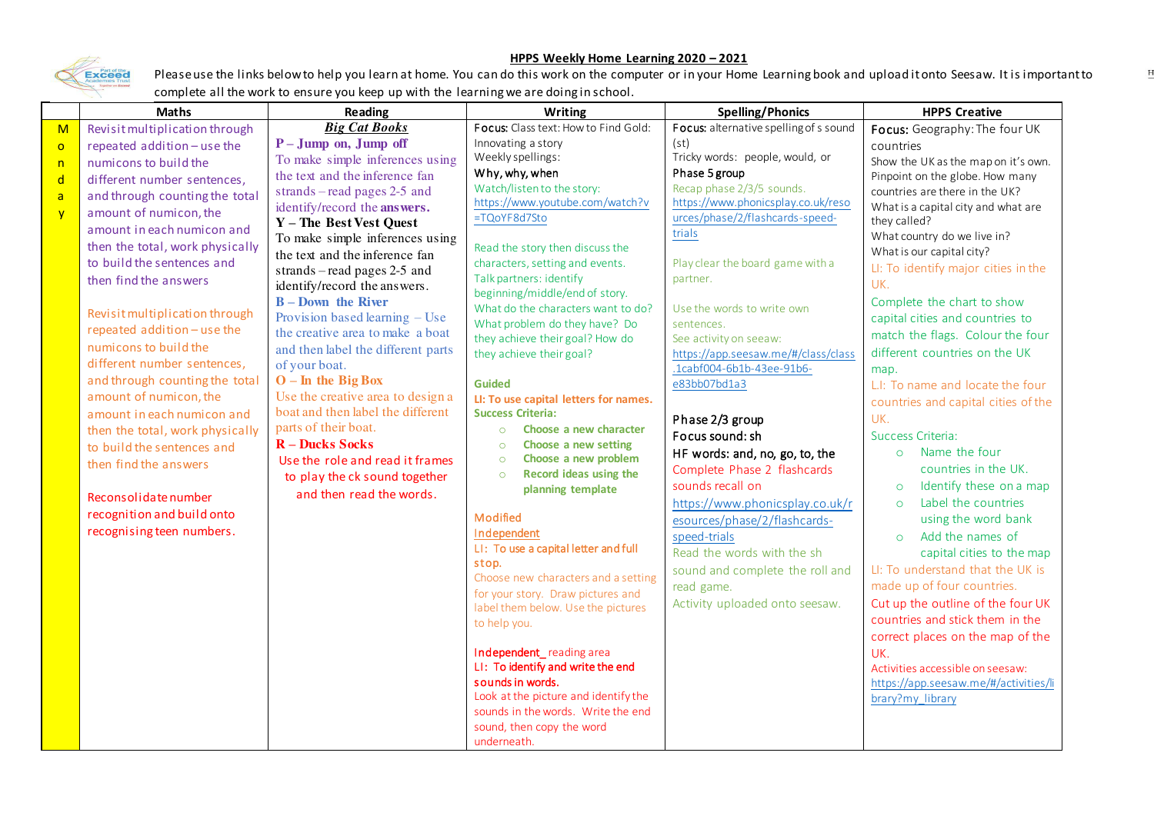## Exceed

## **HPPS Weekly Home Learning 2020 – 2021**

Please use the links below to help you learn at home. You can do this work on the computer or in your Home Learning book and upload it onto Seesaw. It is important to complete all the work to ensure you keep up with the learning we are doing in school.

|              | <b>Maths</b>                    | Reading                                                   | <b>Writing</b>                                                          | <b>Spelling/Phonics</b>                | <b>HPPS Creative</b>                  |
|--------------|---------------------------------|-----------------------------------------------------------|-------------------------------------------------------------------------|----------------------------------------|---------------------------------------|
| M            | Revisit multiplication through  | <b>Big Cat Books</b>                                      | Focus: Class text: How to Find Gold:                                    | Focus: alternative spelling of s sound | Focus: Geography: The four UK         |
| $\circ$      | repeated addition - use the     | $P - Jump$ on, Jump off                                   | Innovating a story                                                      | (st)                                   | countries                             |
| n            | numicons to build the           | To make simple inferences using                           | Weekly spellings:                                                       | Tricky words: people, would, or        | Show the UK as the map on it's own.   |
| $\mathsf{d}$ | different number sentences,     | the text and the inference fan                            | Why, why, when                                                          | Phase 5 group                          | Pinpoint on the globe. How many       |
| $\mathsf{a}$ | and through counting the total  | strands – read pages $2-5$ and                            | Watch/listen to the story:                                              | Recap phase 2/3/5 sounds.              | countries are there in the UK?        |
| y            | amount of numicon, the          | identify/record the answers.                              | https://www.youtube.com/watch?v                                         | https://www.phonicsplay.co.uk/reso     | What is a capital city and what are   |
|              | amount in each numicon and      | Y - The Best Vest Quest                                   | =TQoYF8d7Sto                                                            | urces/phase/2/flashcards-speed-        | they called?                          |
|              | then the total, work physically | To make simple inferences using                           | Read the story then discuss the                                         | trials                                 | What country do we live in?           |
|              | to build the sentences and      | the text and the inference fan                            | characters, setting and events.                                         | Play clear the board game with a       | What is our capital city?             |
|              | then find the answers           | strands – read pages $2-5$ and                            | Talk partners: identify                                                 | partner.                               | LI: To identify major cities in the   |
|              |                                 | identify/record the answers.                              | beginning/middle/end of story.                                          |                                        | UK.                                   |
|              | Revisit multiplication through  | $B - Down$ the River                                      | What do the characters want to do?                                      | Use the words to write own             | Complete the chart to show            |
|              | repeated addition - use the     | Provision based learning $-$ Use                          | What problem do they have? Do                                           | sentences.                             | capital cities and countries to       |
|              |                                 | the creative area to make a boat                          | they achieve their goal? How do                                         | See activity on seeaw:                 | match the flags. Colour the four      |
|              | numicons to build the           | and then label the different parts                        | they achieve their goal?                                                | https://app.seesaw.me/#/class/class    | different countries on the UK         |
|              | different number sentences,     | of your boat.                                             |                                                                         | .1cabf004-6b1b-43ee-91b6-              | map.                                  |
|              | and through counting the total  | $O$ – In the Big Box                                      | <b>Guided</b>                                                           | e83bb07bd1a3                           | L.I: To name and locate the four      |
|              | amount of numicon, the          | Use the creative area to design a                         | LI: To use capital letters for names.                                   |                                        | countries and capital cities of the   |
|              | amount in each numicon and      | boat and then label the different<br>parts of their boat. | <b>Success Criteria:</b>                                                | Phase 2/3 group                        | UK.                                   |
|              | then the total, work physically | <b>R</b> – Ducks Socks                                    | Choose a new character<br>$\circ$                                       | Focus sound: sh                        | Success Criteria:                     |
|              | to build the sentences and      | Use the role and read it frames                           | Choose a new setting<br>$\circ$<br>Choose a new problem<br>$\circ$      | HF words: and, no, go, to, the         | Name the four<br>$\circ$              |
|              | then find the answers           |                                                           | Record ideas using the<br>$\circ$                                       | Complete Phase 2 flashcards            | countries in the UK.                  |
|              |                                 | to play the ck sound together                             | planning template                                                       | sounds recall on                       | Identify these on a map<br>$\circ$    |
|              | Reconsolidate number            | and then read the words.                                  |                                                                         | https://www.phonicsplay.co.uk/r        | Label the countries<br>$\circ$        |
|              | recognition and build onto      |                                                           | Modified                                                                | esources/phase/2/flashcards-           | using the word bank                   |
|              | recognising teen numbers.       |                                                           | Independent                                                             | speed-trials                           | Add the names of<br>$\Omega$          |
|              |                                 |                                                           | LI: To use a capital letter and full                                    | Read the words with the sh             | capital cities to the map             |
|              |                                 |                                                           | stop.                                                                   | sound and complete the roll and        | LI: To understand that the UK is      |
|              |                                 |                                                           | Choose new characters and a setting                                     | read game.                             | made up of four countries.            |
|              |                                 |                                                           | for your story. Draw pictures and<br>label them below. Use the pictures | Activity uploaded onto seesaw.         | Cut up the outline of the four UK     |
|              |                                 |                                                           | to help you.                                                            |                                        | countries and stick them in the       |
|              |                                 |                                                           |                                                                         |                                        | correct places on the map of the      |
|              |                                 |                                                           | Independent_reading area                                                |                                        | UK.                                   |
|              |                                 |                                                           | LI: To identify and write the end                                       |                                        | Activities accessible on seesaw:      |
|              |                                 |                                                           | sounds in words.                                                        |                                        | https://app.seesaw.me/#/activities/li |
|              |                                 |                                                           | Look at the picture and identify the                                    |                                        | brary?my_library                      |
|              |                                 |                                                           | sounds in the words. Write the end                                      |                                        |                                       |
|              |                                 |                                                           | sound, then copy the word                                               |                                        |                                       |
|              |                                 |                                                           | underneath.                                                             |                                        |                                       |

 $H$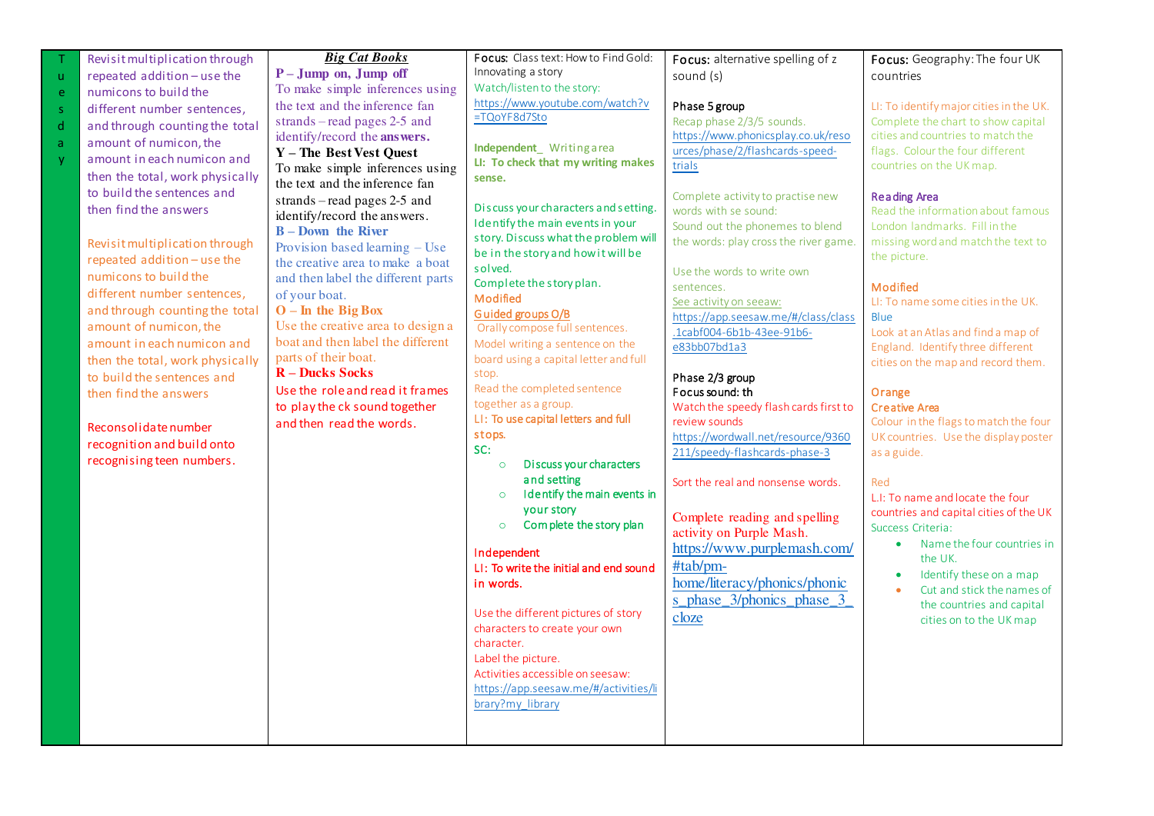|              | Revisit multiplication through  | <b>Big Cat Books</b>               | Focus: Class text: How to Find Gold:        | Focus: alternative spelling of z      | Focus: Geography: The four UK           |
|--------------|---------------------------------|------------------------------------|---------------------------------------------|---------------------------------------|-----------------------------------------|
| $\mathbf{u}$ | repeated addition - use the     | $P - Jump$ on, Jump off            | Innovating a story                          | sound (s)                             | countries                               |
| e            | numicons to build the           | To make simple inferences using    | Watch/listen to the story:                  |                                       |                                         |
| $\mathsf S$  | different number sentences,     | the text and the inference fan     | https://www.youtube.com/watch?v             | Phase 5 group                         | LI: To identify major cities in the UK. |
| $\mathsf{d}$ | and through counting the total  | strands – read pages $2-5$ and     | =TQoYF8d7Sto                                | Recap phase 2/3/5 sounds.             | Complete the chart to show capital      |
|              | amount of numicon, the          | identify/record the answers.       |                                             | https://www.phonicsplay.co.uk/reso    | cities and countries to match the       |
| a            |                                 | Y - The Best Vest Quest            | Independent Writingarea                     | urces/phase/2/flashcards-speed-       | flags. Colour the four different        |
| y            | amount in each numicon and      | To make simple inferences using    | LI: To check that my writing makes          | trials                                | countries on the UK map.                |
|              | then the total, work physically | the text and the inference fan     | sense.                                      |                                       |                                         |
|              | to build the sentences and      | strands – read pages $2-5$ and     |                                             | Complete activity to practise new     | <b>Reading Area</b>                     |
|              | then find the answers           | identify/record the answers.       | Discuss your characters and setting.        | words with se sound:                  | Read the information about famous       |
|              |                                 | <b>B</b> – Down the River          | Identify the main events in your            | Sound out the phonemes to blend       | London landmarks. Fill in the           |
|              | Revisit multiplication through  | Provision based learning – Use     | story. Discuss what the problem will        | the words: play cross the river game. | missing word and match the text to      |
|              | repeated addition - use the     | the creative area to make a boat   | be in the story and how it will be          |                                       | the picture.                            |
|              | numicons to build the           | and then label the different parts | solved.                                     | Use the words to write own            |                                         |
|              | different number sentences.     | of your boat.                      | Complete the story plan.<br><b>Modified</b> | sentences.                            | Modified                                |
|              | and through counting the total  | $O$ – In the Big Box               | Guided groups O/B                           | See activity on seeaw:                | LI: To name some cities in the UK.      |
|              | amount of numicon, the          | Use the creative area to design a  | Orally compose full sentences.              | https://app.seesaw.me/#/class/class   | Blue                                    |
|              | amount in each numicon and      | boat and then label the different  | Model writing a sentence on the             | .1cabf004-6b1b-43ee-91b6-             | Look at an Atlas and find a map of      |
|              | then the total, work physically | parts of their boat.               | board using a capital letter and full       | e83bb07bd1a3                          | England. Identify three different       |
|              | to build the sentences and      | <b>R</b> – Ducks Socks             | stop.                                       |                                       | cities on the map and record them.      |
|              |                                 | Use the role and read it frames    | Read the completed sentence                 | Phase 2/3 group<br>Focus sound: th    |                                         |
|              | then find the answers           | to play the ck sound together      | together as a group.                        | Watch the speedy flash cards first to | Orange<br><b>Creative Area</b>          |
|              |                                 | and then read the words.           | LI: To use capital letters and full         | review sounds                         | Colour in the flags to match the four   |
|              | Reconsolidate number            |                                    | stops.                                      | https://wordwall.net/resource/9360    | UK countries. Use the display poster    |
|              | recognition and build onto      |                                    | SC:                                         | 211/speedy-flashcards-phase-3         | as a guide.                             |
|              | recognising teen numbers.       |                                    | Discuss your characters<br>$\circ$          |                                       |                                         |
|              |                                 |                                    | and setting                                 | Sort the real and nonsense words.     | Red                                     |
|              |                                 |                                    | I dentify the main events in<br>$\circ$     |                                       | L.I: To name and locate the four        |
|              |                                 |                                    | your story                                  | Complete reading and spelling         | countries and capital cities of the UK  |
|              |                                 |                                    | Complete the story plan<br>$\circ$          | activity on Purple Mash.              | Success Criteria:                       |
|              |                                 |                                    |                                             | https://www.purplemash.com/           | Name the four countries in<br>$\bullet$ |
|              |                                 |                                    | Independent                                 | #tab/pm-                              | the UK.                                 |
|              |                                 |                                    | LI: To write the initial and end sound      |                                       | Identify these on a map                 |
|              |                                 |                                    | in words.                                   | home/literacy/phonics/phonic          | Cut and stick the names of              |
|              |                                 |                                    | Use the different pictures of story         | s_phase_3/phonics_phase_3_            | the countries and capital               |
|              |                                 |                                    |                                             | cloze                                 | cities on to the UK map                 |
|              |                                 |                                    | characters to create your own<br>character. |                                       |                                         |
|              |                                 |                                    | Label the picture.                          |                                       |                                         |
|              |                                 |                                    | Activities accessible on seesaw:            |                                       |                                         |
|              |                                 |                                    | https://app.seesaw.me/#/activities/li       |                                       |                                         |
|              |                                 |                                    | brary?my_library                            |                                       |                                         |
|              |                                 |                                    |                                             |                                       |                                         |
|              |                                 |                                    |                                             |                                       |                                         |
|              |                                 |                                    |                                             |                                       |                                         |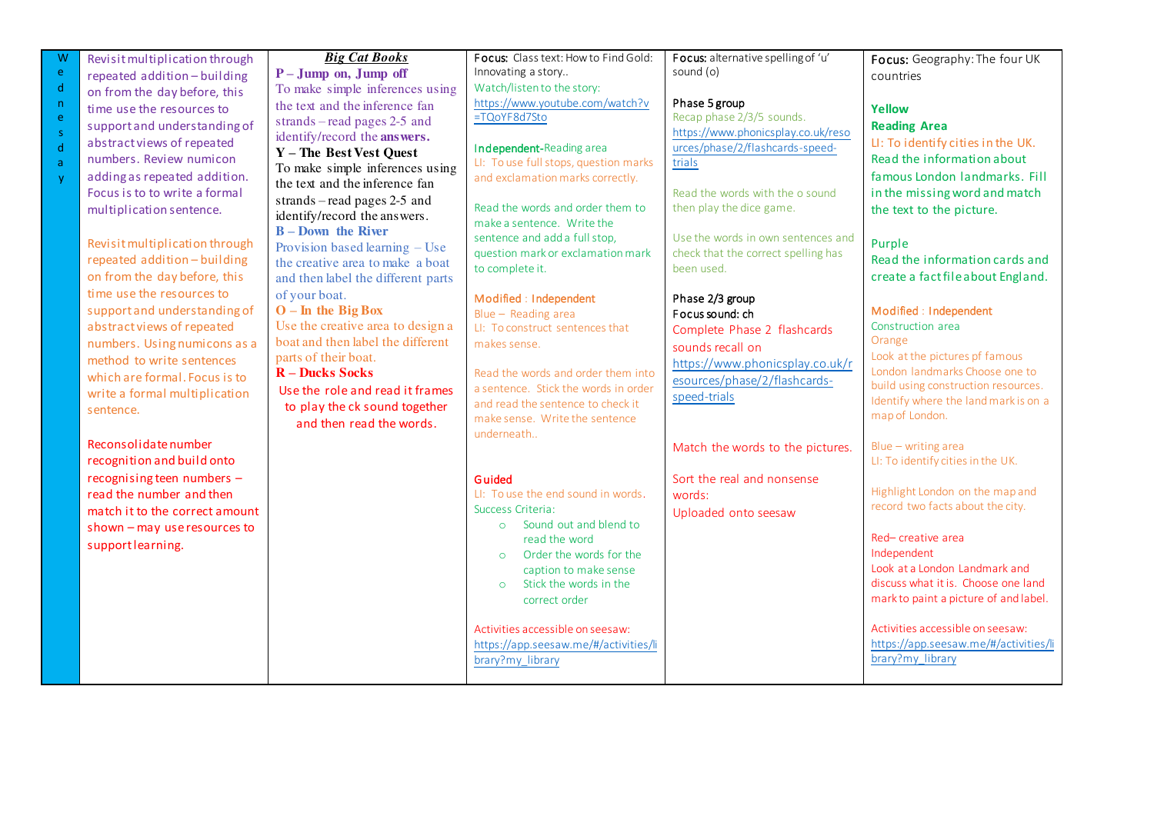| Ŵ<br>ė                  | Revisit multiplication through<br>repeated addition-building                                                                                                                                                                                                                              | <b>Big Cat Books</b><br>$P - Jump$ on, Jump off                                                                                                                                                                                                                                                                                                                  | Focus: Class text: How to Find Gold:<br>Innovating a story                                                                                                                                                                                                                                                                | Focus: alternative spelling of 'u'<br>sound (o)                                                                                                                                                                                                                           | Focus: Geography: The four UK<br>countries                                                                                                                                                                                                                                                            |
|-------------------------|-------------------------------------------------------------------------------------------------------------------------------------------------------------------------------------------------------------------------------------------------------------------------------------------|------------------------------------------------------------------------------------------------------------------------------------------------------------------------------------------------------------------------------------------------------------------------------------------------------------------------------------------------------------------|---------------------------------------------------------------------------------------------------------------------------------------------------------------------------------------------------------------------------------------------------------------------------------------------------------------------------|---------------------------------------------------------------------------------------------------------------------------------------------------------------------------------------------------------------------------------------------------------------------------|-------------------------------------------------------------------------------------------------------------------------------------------------------------------------------------------------------------------------------------------------------------------------------------------------------|
| d                       | on from the day before, this                                                                                                                                                                                                                                                              | To make simple inferences using                                                                                                                                                                                                                                                                                                                                  | Watch/listen to the story:                                                                                                                                                                                                                                                                                                |                                                                                                                                                                                                                                                                           |                                                                                                                                                                                                                                                                                                       |
| 'n<br>ė<br>s.<br>d<br>ă | time use the resources to<br>support and understanding of<br>abstract views of repeated<br>numbers. Review numicon<br>adding as repeated addition.<br>Focus is to to write a formal<br>multiplication sentence.<br>Revisit multiplication through<br>repeated addition-building           | the text and the inference fan<br>strands – read pages $2-5$ and<br>identify/record the answers.<br>Y - The Best Vest Quest<br>To make simple inferences using<br>the text and the inference fan<br>strands – read pages $2-5$ and<br>identify/record the answers.<br>$B - Down$ the River<br>Provision based learning - Use<br>the creative area to make a boat | https://www.youtube.com/watch?v<br>=TQoYF8d7Sto<br>Independent-Reading area<br>LI: To use full stops, question marks<br>and exclamation marks correctly.<br>Read the words and order them to<br>make a sentence. Write the<br>sentence and add a full stop,<br>question mark or exclamation mark                          | Phase 5 group<br>Recap phase 2/3/5 sounds.<br>https://www.phonicsplay.co.uk/reso<br>urces/phase/2/flashcards-speed-<br>trials<br>Read the words with the o sound<br>then play the dice game.<br>Use the words in own sentences and<br>check that the correct spelling has | Yellow<br><b>Reading Area</b><br>LI: To identify cities in the UK.<br>Read the information about<br>famous London landmarks. Fill<br>in the missing word and match<br>the text to the picture.<br>Purple<br>Read the information cards and                                                            |
|                         | on from the day before, this                                                                                                                                                                                                                                                              | and then label the different parts                                                                                                                                                                                                                                                                                                                               | to complete it.                                                                                                                                                                                                                                                                                                           | been used.                                                                                                                                                                                                                                                                | create a fact file about England.                                                                                                                                                                                                                                                                     |
|                         | time use the resources to<br>support and understanding of<br>abstract views of repeated<br>numbers. Using numicons as a<br>method to write sentences<br>which are formal. Focus is to<br>write a formal multiplication<br>sentence.<br>Reconsolidate number<br>recognition and build onto | of your boat.<br>$O$ – In the Big Box<br>Use the creative area to design a<br>boat and then label the different<br>parts of their boat.<br><b>R</b> – Ducks Socks<br>Use the role and read it frames<br>to play the ck sound together<br>and then read the words.                                                                                                | Modified : Independent<br>Blue - Reading area<br>LI: To construct sentences that<br>makes sense.<br>Read the words and order them into<br>a sentence. Stick the words in order<br>and read the sentence to check it<br>make sense. Write the sentence<br>underneath                                                       | Phase 2/3 group<br>Focus sound: ch<br>Complete Phase 2 flashcards<br>sounds recall on<br>https://www.phonicsplay.co.uk/r<br>esources/phase/2/flashcards-<br>speed-trials<br>Match the words to the pictures.                                                              | Modified : Independent<br>Construction area<br>Orange<br>Look at the pictures pf famous<br>London landmarks Choose one to<br>build using construction resources.<br>Identify where the land mark is on a<br>map of London.<br>Blue - writing area<br>LI: To identify cities in the UK.                |
|                         | recognising teen numbers -<br>read the number and then<br>match it to the correct amount<br>shown - may use resources to<br>supportlearning.                                                                                                                                              |                                                                                                                                                                                                                                                                                                                                                                  | Guided<br>LI: To use the end sound in words.<br>Success Criteria:<br>Sound out and blend to<br>$\circ$<br>read the word<br>Order the words for the<br>$\circ$<br>caption to make sense<br>Stick the words in the<br>$\circ$<br>correct order<br>Activities accessible on seesaw:<br>https://app.seesaw.me/#/activities/li | Sort the real and nonsense<br>words:<br>Uploaded onto seesaw                                                                                                                                                                                                              | Highlight London on the map and<br>record two facts about the city.<br>Red-creative area<br>Independent<br>Look at a London Landmark and<br>discuss what it is. Choose one land<br>mark to paint a picture of and label.<br>Activities accessible on seesaw:<br>https://app.seesaw.me/#/activities/li |
|                         |                                                                                                                                                                                                                                                                                           |                                                                                                                                                                                                                                                                                                                                                                  | brary?my library                                                                                                                                                                                                                                                                                                          |                                                                                                                                                                                                                                                                           | brary?my library                                                                                                                                                                                                                                                                                      |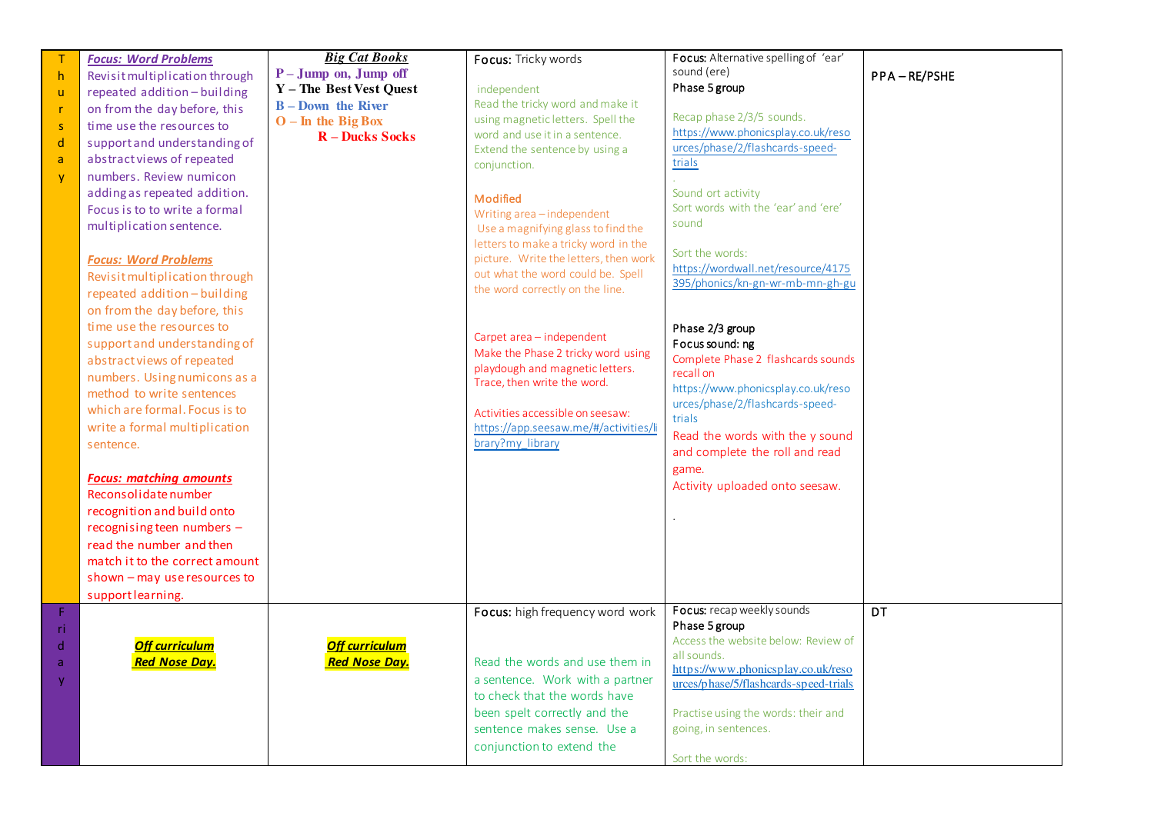|              | <b>Focus: Word Problems</b>    | <b>Big Cat Books</b>    | Focus: Tricky words                   | Focus: Alternative spelling of 'ear'                      |             |
|--------------|--------------------------------|-------------------------|---------------------------------------|-----------------------------------------------------------|-------------|
| h,           | Revisit multiplication through | P-Jump on, Jump off     |                                       | sound (ere)                                               | PPA-RE/PSHE |
| $\mathsf{u}$ | repeated addition-building     | Y - The Best Vest Quest | independent                           | Phase 5 group                                             |             |
| -r           | on from the day before, this   | $B$ – Down the River    | Read the tricky word and make it      |                                                           |             |
| <sub>S</sub> | time use the resources to      | $O - In$ the Big Box    | using magnetic letters. Spell the     | Recap phase 2/3/5 sounds.                                 |             |
| d            | support and understanding of   | <b>R</b> – Ducks Socks  | word and use it in a sentence.        | https://www.phonicsplay.co.uk/reso                        |             |
| a            | abstract views of repeated     |                         | Extend the sentence by using a        | urces/phase/2/flashcards-speed-                           |             |
|              | numbers. Review numicon        |                         | conjunction.                          | trials                                                    |             |
| <b>V</b>     |                                |                         |                                       |                                                           |             |
|              | adding as repeated addition.   |                         | Modified                              | Sound ort activity<br>Sort words with the 'ear' and 'ere' |             |
|              | Focus is to to write a formal  |                         | Writing area-independent              |                                                           |             |
|              | multiplication sentence.       |                         | Use a magnifying glass to find the    | sound                                                     |             |
|              |                                |                         | letters to make a tricky word in the  | Sort the words:                                           |             |
|              | <b>Focus: Word Problems</b>    |                         | picture. Write the letters, then work | https://wordwall.net/resource/4175                        |             |
|              | Revisit multiplication through |                         | out what the word could be. Spell     | 395/phonics/kn-gn-wr-mb-mn-gh-gu                          |             |
|              | repeated addition-building     |                         | the word correctly on the line.       |                                                           |             |
|              | on from the day before, this   |                         |                                       |                                                           |             |
|              | time use the resources to      |                         |                                       | Phase 2/3 group                                           |             |
|              | support and understanding of   |                         | Carpet area - independent             | Focus sound: ng                                           |             |
|              | abstract views of repeated     |                         | Make the Phase 2 tricky word using    | Complete Phase 2 flashcards sounds                        |             |
|              | numbers. Using numicons as a   |                         | playdough and magnetic letters.       | recall on                                                 |             |
|              | method to write sentences      |                         | Trace, then write the word.           | https://www.phonicsplay.co.uk/reso                        |             |
|              | which are formal. Focus is to  |                         | Activities accessible on seesaw:      | urces/phase/2/flashcards-speed-                           |             |
|              | write a formal multiplication  |                         | https://app.seesaw.me/#/activities/li | trials                                                    |             |
|              |                                |                         | brary?my_library                      | Read the words with the y sound                           |             |
|              | sentence.                      |                         |                                       | and complete the roll and read                            |             |
|              |                                |                         |                                       | game.                                                     |             |
|              | <b>Focus: matching amounts</b> |                         |                                       | Activity uploaded onto seesaw.                            |             |
|              | Reconsolidate number           |                         |                                       |                                                           |             |
|              | recognition and build onto     |                         |                                       |                                                           |             |
|              | recognising teen numbers -     |                         |                                       |                                                           |             |
|              | read the number and then       |                         |                                       |                                                           |             |
|              | match it to the correct amount |                         |                                       |                                                           |             |
|              | shown - may use resources to   |                         |                                       |                                                           |             |
|              | supportlearning.               |                         |                                       |                                                           |             |
| $\mathsf F$  |                                |                         | Focus: high frequency word work       | Focus: recap weekly sounds                                | DT          |
| -ri          |                                |                         |                                       | Phase 5 group                                             |             |
| $\mathsf{d}$ | <b>Off curriculum</b>          | <b>Off curriculum</b>   |                                       | Access the website below: Review of                       |             |
| a            | <b>Red Nose Day.</b>           | <b>Red Nose Day.</b>    | Read the words and use them in        | all sounds.<br>https://www.phonicsplay.co.uk/reso         |             |
|              |                                |                         | a sentence. Work with a partner       | urces/phase/5/flashcards-speed-trials                     |             |
|              |                                |                         | to check that the words have          |                                                           |             |
|              |                                |                         | been spelt correctly and the          | Practise using the words: their and                       |             |
|              |                                |                         | sentence makes sense. Use a           | going, in sentences.                                      |             |
|              |                                |                         | conjunction to extend the             |                                                           |             |
|              |                                |                         |                                       | Sort the words:                                           |             |